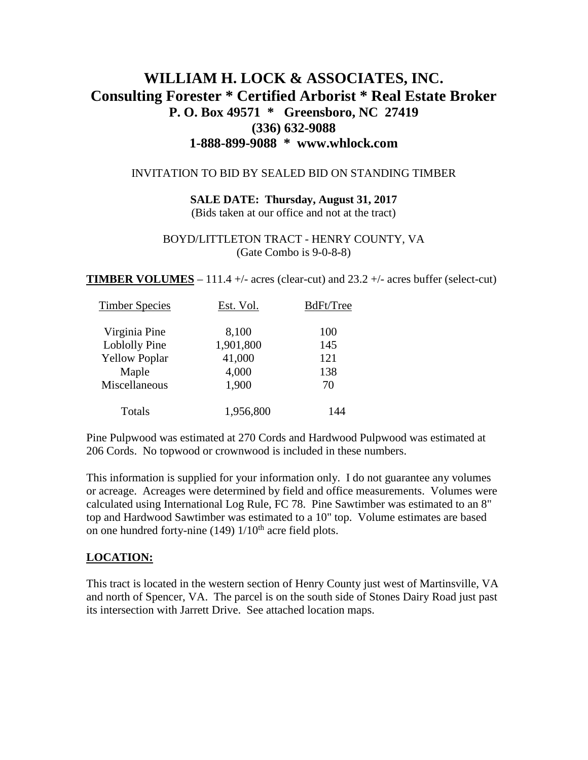## **WILLIAM H. LOCK & ASSOCIATES, INC. Consulting Forester \* Certified Arborist \* Real Estate Broker P. O. Box 49571 \* Greensboro, NC 27419 (336) 632-9088 1-888-899-9088 \* www.whlock.com**

#### INVITATION TO BID BY SEALED BID ON STANDING TIMBER

# **SALE DATE: Thursday, August 31, 2017**

(Bids taken at our office and not at the tract)

#### BOYD/LITTLETON TRACT - HENRY COUNTY, VA (Gate Combo is 9-0-8-8)

**TIMBER VOLUMES** – 111.4 +/- acres (clear-cut) and 23.2 +/- acres buffer (select-cut)

| <b>Timber Species</b> | Est. Vol. | BdFt/Tree |
|-----------------------|-----------|-----------|
| Virginia Pine         | 8,100     | 100       |
| Loblolly Pine         | 1,901,800 | 145       |
| <b>Yellow Poplar</b>  | 41,000    | 121       |
| Maple                 | 4,000     | 138       |
| Miscellaneous         | 1,900     | 70        |
| Totals                | 1,956,800 | 144       |

Pine Pulpwood was estimated at 270 Cords and Hardwood Pulpwood was estimated at 206 Cords. No topwood or crownwood is included in these numbers.

This information is supplied for your information only. I do not guarantee any volumes or acreage. Acreages were determined by field and office measurements. Volumes were calculated using International Log Rule, FC 78. Pine Sawtimber was estimated to an 8" top and Hardwood Sawtimber was estimated to a 10" top. Volume estimates are based on one hundred forty-nine (149)  $1/10^{th}$  acre field plots.

## **LOCATION:**

This tract is located in the western section of Henry County just west of Martinsville, VA and north of Spencer, VA. The parcel is on the south side of Stones Dairy Road just past its intersection with Jarrett Drive. See attached location maps.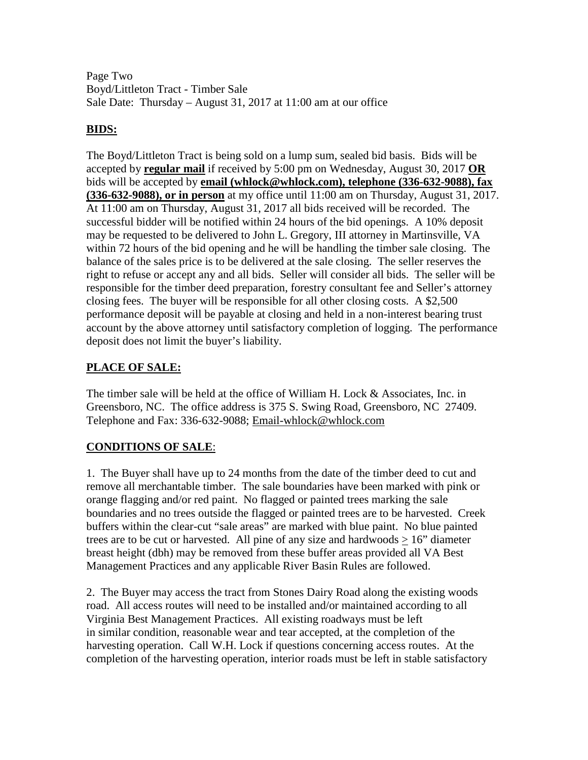Page Two Boyd/Littleton Tract - Timber Sale Sale Date: Thursday – August 31, 2017 at 11:00 am at our office

#### **BIDS:**

The Boyd/Littleton Tract is being sold on a lump sum, sealed bid basis. Bids will be accepted by **regular mail** if received by 5:00 pm on Wednesday, August 30, 2017 **OR** bids will be accepted by **email [\(whlock@whlock.com\)](mailto:whlock@whlock.com), telephone (336-632-9088), fax (336-632-9088), or in person** at my office until 11:00 am on Thursday, August 31, 2017. At 11:00 am on Thursday, August 31, 2017 all bids received will be recorded. The successful bidder will be notified within 24 hours of the bid openings. A 10% deposit may be requested to be delivered to John L. Gregory, III attorney in Martinsville, VA within 72 hours of the bid opening and he will be handling the timber sale closing. The balance of the sales price is to be delivered at the sale closing. The seller reserves the right to refuse or accept any and all bids. Seller will consider all bids. The seller will be responsible for the timber deed preparation, forestry consultant fee and Seller's attorney closing fees. The buyer will be responsible for all other closing costs. A \$2,500 performance deposit will be payable at closing and held in a non-interest bearing trust account by the above attorney until satisfactory completion of logging. The performance deposit does not limit the buyer's liability.

## **PLACE OF SALE:**

The timber sale will be held at the office of William H. Lock & Associates, Inc. in Greensboro, NC. The office address is 375 S. Swing Road, Greensboro, NC 27409. Telephone and Fax: 336-632-9088; [Email-whlock@whlock.com](mailto:Email-whlock@whlock.com)

## **CONDITIONS OF SALE**:

1. The Buyer shall have up to 24 months from the date of the timber deed to cut and remove all merchantable timber. The sale boundaries have been marked with pink or orange flagging and/or red paint. No flagged or painted trees marking the sale boundaries and no trees outside the flagged or painted trees are to be harvested. Creek buffers within the clear-cut "sale areas" are marked with blue paint. No blue painted trees are to be cut or harvested. All pine of any size and hardwoods  $> 16$ " diameter breast height (dbh) may be removed from these buffer areas provided all VA Best Management Practices and any applicable River Basin Rules are followed.

2. The Buyer may access the tract from Stones Dairy Road along the existing woods road. All access routes will need to be installed and/or maintained according to all Virginia Best Management Practices. All existing roadways must be left in similar condition, reasonable wear and tear accepted, at the completion of the harvesting operation. Call W.H. Lock if questions concerning access routes. At the completion of the harvesting operation, interior roads must be left in stable satisfactory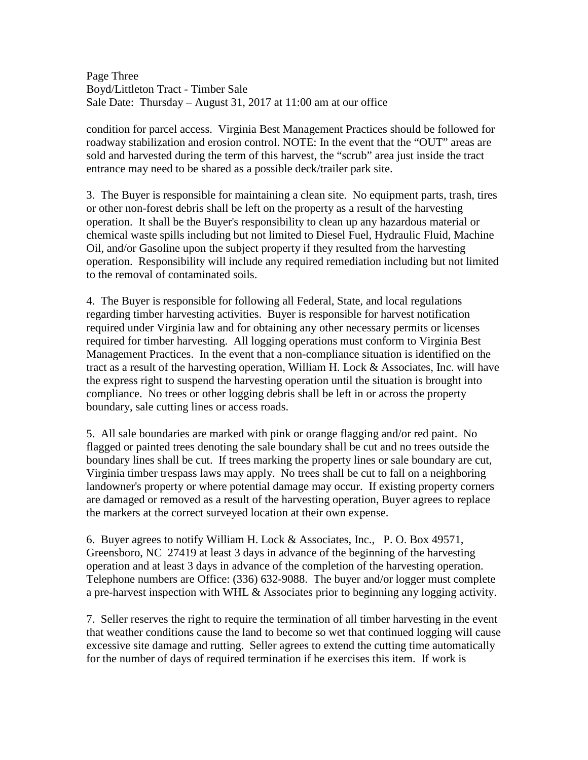Page Three Boyd/Littleton Tract - Timber Sale Sale Date: Thursday – August 31, 2017 at 11:00 am at our office

condition for parcel access. Virginia Best Management Practices should be followed for roadway stabilization and erosion control. NOTE: In the event that the "OUT" areas are sold and harvested during the term of this harvest, the "scrub" area just inside the tract entrance may need to be shared as a possible deck/trailer park site.

3. The Buyer is responsible for maintaining a clean site. No equipment parts, trash, tires or other non-forest debris shall be left on the property as a result of the harvesting operation. It shall be the Buyer's responsibility to clean up any hazardous material or chemical waste spills including but not limited to Diesel Fuel, Hydraulic Fluid, Machine Oil, and/or Gasoline upon the subject property if they resulted from the harvesting operation. Responsibility will include any required remediation including but not limited to the removal of contaminated soils.

4. The Buyer is responsible for following all Federal, State, and local regulations regarding timber harvesting activities. Buyer is responsible for harvest notification required under Virginia law and for obtaining any other necessary permits or licenses required for timber harvesting. All logging operations must conform to Virginia Best Management Practices. In the event that a non-compliance situation is identified on the tract as a result of the harvesting operation, William H. Lock & Associates, Inc. will have the express right to suspend the harvesting operation until the situation is brought into compliance. No trees or other logging debris shall be left in or across the property boundary, sale cutting lines or access roads.

5. All sale boundaries are marked with pink or orange flagging and/or red paint. No flagged or painted trees denoting the sale boundary shall be cut and no trees outside the boundary lines shall be cut. If trees marking the property lines or sale boundary are cut, Virginia timber trespass laws may apply. No trees shall be cut to fall on a neighboring landowner's property or where potential damage may occur. If existing property corners are damaged or removed as a result of the harvesting operation, Buyer agrees to replace the markers at the correct surveyed location at their own expense.

6. Buyer agrees to notify William H. Lock & Associates, Inc., P. O. Box 49571, Greensboro, NC 27419 at least 3 days in advance of the beginning of the harvesting operation and at least 3 days in advance of the completion of the harvesting operation. Telephone numbers are Office: (336) 632-9088. The buyer and/or logger must complete a pre-harvest inspection with WHL  $\&$  Associates prior to beginning any logging activity.

7. Seller reserves the right to require the termination of all timber harvesting in the event that weather conditions cause the land to become so wet that continued logging will cause excessive site damage and rutting. Seller agrees to extend the cutting time automatically for the number of days of required termination if he exercises this item. If work is